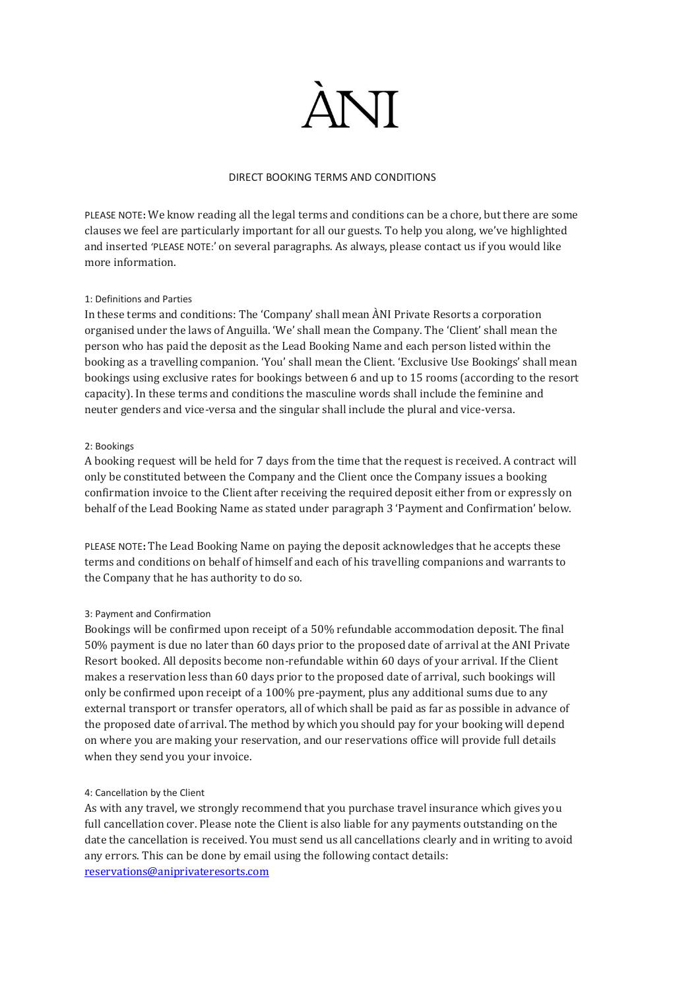

### DIRECT BOOKING TERMS AND CONDITIONS

PLEASE NOTE**:** We know reading all the legal terms and conditions can be a chore, but there are some clauses we feel are particularly important for all our guests. To help you along, we've highlighted and inserted 'PLEASE NOTE:' on several paragraphs. As always, please contact us if you would like more information.

#### 1: Definitions and Parties

In these terms and conditions: The 'Company' shall mean ÀNI Private Resorts a corporation organised under the laws of Anguilla. 'We' shall mean the Company. The 'Client' shall mean the person who has paid the deposit as the Lead Booking Name and each person listed within the booking as a travelling companion. 'You' shall mean the Client. 'Exclusive Use Bookings' shall mean bookings using exclusive rates for bookings between 6 and up to 15 rooms (according to the resort capacity). In these terms and conditions the masculine words shall include the feminine and neuter genders and vice-versa and the singular shall include the plural and vice-versa.

#### 2: Bookings

A booking request will be held for 7 days from the time that the request is received. A contract will only be constituted between the Company and the Client once the Company issues a booking confirmation invoice to the Client after receiving the required deposit either from or expressly on behalf of the Lead Booking Name as stated under paragraph 3 'Payment and Confirmation' below.

PLEASE NOTE**:** The Lead Booking Name on paying the deposit acknowledges that he accepts these terms and conditions on behalf of himself and each of his travelling companions and warrants to the Company that he has authority to do so.

#### 3: Payment and Confirmation

Bookings will be confirmed upon receipt of a 50% refundable accommodation deposit. The final 50% payment is due no later than 60 days prior to the proposed date of arrival at the ANI Private Resort booked. All deposits become non-refundable within 60 days of your arrival. If the Client makes a reservation less than 60 days prior to the proposed date of arrival, such bookings will only be confirmed upon receipt of a 100% pre-payment, plus any additional sums due to any external transport or transfer operators, all of which shall be paid as far as possible in advance of the proposed date of arrival. The method by which you should pay for your booking will depend on where you are making your reservation, and our reservations office will provide full details when they send you your invoice.

#### 4: Cancellation by the Client

As with any travel, we strongly recommend that you purchase travel insurance which gives you full cancellation cover. Please note the Client is also liable for any payments outstanding on the date the cancellation is received. You must send us all cancellations clearly and in writing to avoid any errors. This can be done by email using the following contact details: [reservations@aniprivateresorts.com](mailto:reservations@aniprivateresorts.com)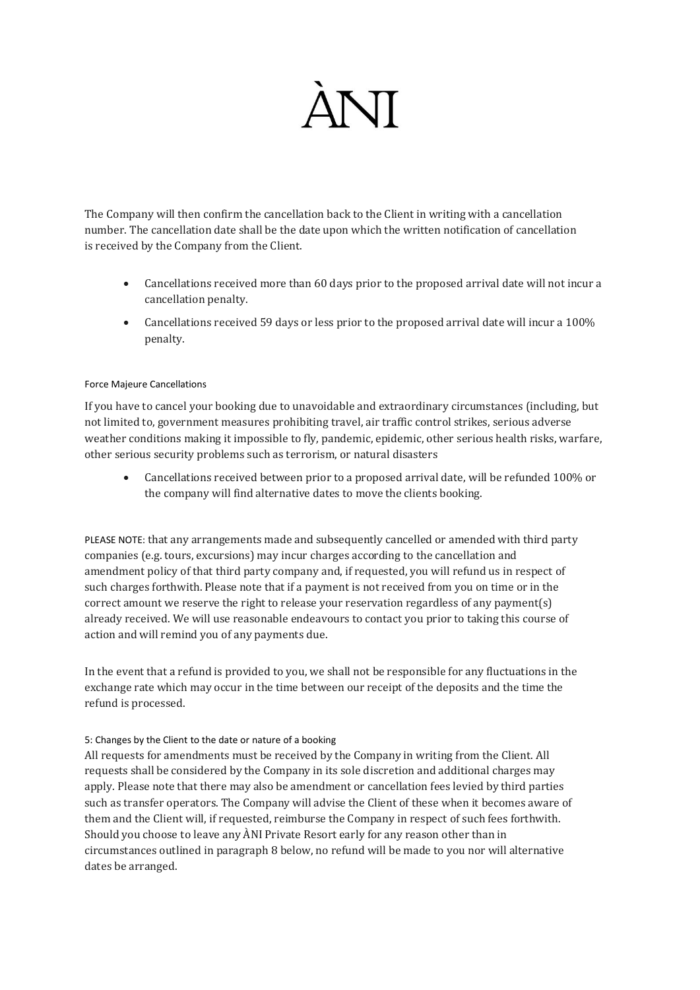## **ANT**

The Company will then confirm the cancellation back to the Client in writing with a cancellation number. The cancellation date shall be the date upon which the written notification of cancellation is received by the Company from the Client.

- Cancellations received more than 60 days prior to the proposed arrival date will not incur a cancellation penalty.
- Cancellations received 59 days or less prior to the proposed arrival date will incur a 100% penalty.

### Force Majeure Cancellations

If you have to cancel your booking due to unavoidable and extraordinary circumstances (including, but not limited to, government measures prohibiting travel, air traffic control strikes, serious adverse weather conditions making it impossible to fly, pandemic, epidemic, other serious health risks, warfare, other serious security problems such as terrorism, or natural disasters

• Cancellations received between prior to a proposed arrival date, will be refunded 100% or the company will find alternative dates to move the clients booking.

PLEASE NOTE: that any arrangements made and subsequently cancelled or amended with third party companies (e.g. tours, excursions) may incur charges according to the cancellation and amendment policy of that third party company and, if requested, you will refund us in respect of such charges forthwith. Please note that if a payment is not received from you on time or in the correct amount we reserve the right to release your reservation regardless of any payment(s) already received. We will use reasonable endeavours to contact you prior to taking this course of action and will remind you of any payments due.

In the event that a refund is provided to you, we shall not be responsible for any fluctuations in the exchange rate which may occur in the time between our receipt of the deposits and the time the refund is processed.

## 5: Changes by the Client to the date or nature of a booking

All requests for amendments must be received by the Company in writing from the Client. All requests shall be considered by the Company in its sole discretion and additional charges may apply. Please note that there may also be amendment or cancellation fees levied by third parties such as transfer operators. The Company will advise the Client of these when it becomes aware of them and the Client will, if requested, reimburse the Company in respect of such fees forthwith. Should you choose to leave any ÀNI Private Resort early for any reason other than in circumstances outlined in paragraph 8 below, no refund will be made to you nor will alternative dates be arranged.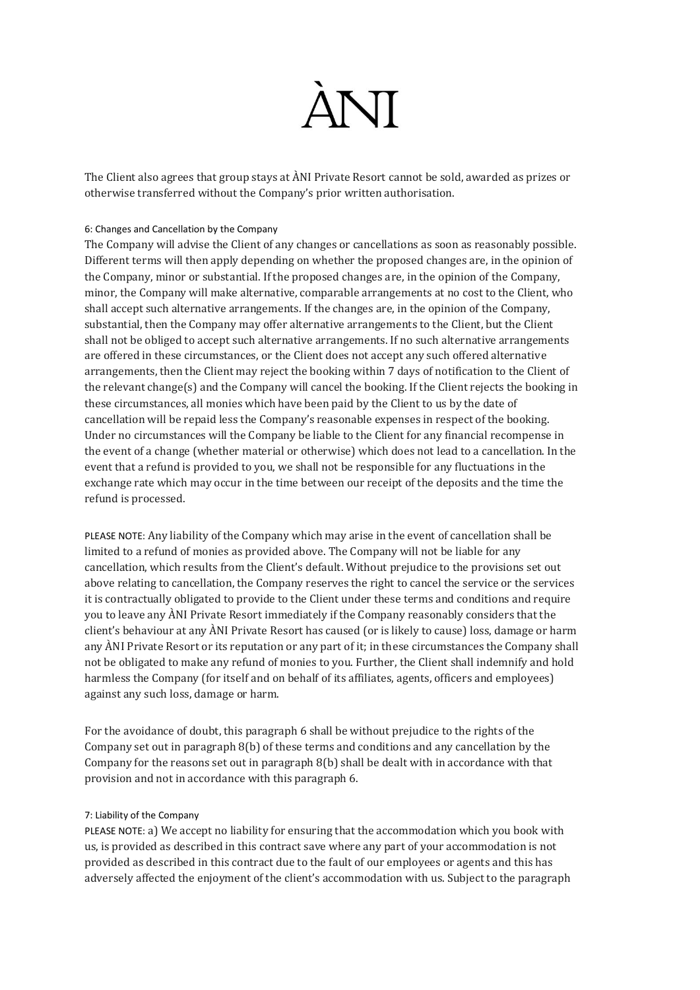# **ANI**

The Client also agrees that group stays at ÀNI Private Resort cannot be sold, awarded as prizes or otherwise transferred without the Company's prior written authorisation.

### 6: Changes and Cancellation by the Company

The Company will advise the Client of any changes or cancellations as soon as reasonably possible. Different terms will then apply depending on whether the proposed changes are, in the opinion of the Company, minor or substantial. If the proposed changes are, in the opinion of the Company, minor, the Company will make alternative, comparable arrangements at no cost to the Client, who shall accept such alternative arrangements. If the changes are, in the opinion of the Company, substantial, then the Company may offer alternative arrangements to the Client, but the Client shall not be obliged to accept such alternative arrangements. If no such alternative arrangements are offered in these circumstances, or the Client does not accept any such offered alternative arrangements, then the Client may reject the booking within 7 days of notification to the Client of the relevant change(s) and the Company will cancel the booking. If the Client rejects the booking in these circumstances, all monies which have been paid by the Client to us by the date of cancellation will be repaid less the Company's reasonable expenses in respect of the booking. Under no circumstances will the Company be liable to the Client for any financial recompense in the event of a change (whether material or otherwise) which does not lead to a cancellation. In the event that a refund is provided to you, we shall not be responsible for any fluctuations in the exchange rate which may occur in the time between our receipt of the deposits and the time the refund is processed.

PLEASE NOTE: Any liability of the Company which may arise in the event of cancellation shall be limited to a refund of monies as provided above. The Company will not be liable for any cancellation, which results from the Client's default. Without prejudice to the provisions set out above relating to cancellation, the Company reserves the right to cancel the service or the services it is contractually obligated to provide to the Client under these terms and conditions and require you to leave any ÀNI Private Resort immediately if the Company reasonably considers that the client's behaviour at any ÀNI Private Resort has caused (or is likely to cause) loss, damage or harm any ÀNI Private Resort or its reputation or any part of it; in these circumstances the Company shall not be obligated to make any refund of monies to you. Further, the Client shall indemnify and hold harmless the Company (for itself and on behalf of its affiliates, agents, officers and employees) against any such loss, damage or harm.

For the avoidance of doubt, this paragraph 6 shall be without prejudice to the rights of the Company set out in paragraph 8(b) of these terms and conditions and any cancellation by the Company for the reasons set out in paragraph 8(b) shall be dealt with in accordance with that provision and not in accordance with this paragraph 6.

#### 7: Liability of the Company

PLEASE NOTE: a) We accept no liability for ensuring that the accommodation which you book with us, is provided as described in this contract save where any part of your accommodation is not provided as described in this contract due to the fault of our employees or agents and this has adversely affected the enjoyment of the client's accommodation with us. Subject to the paragraph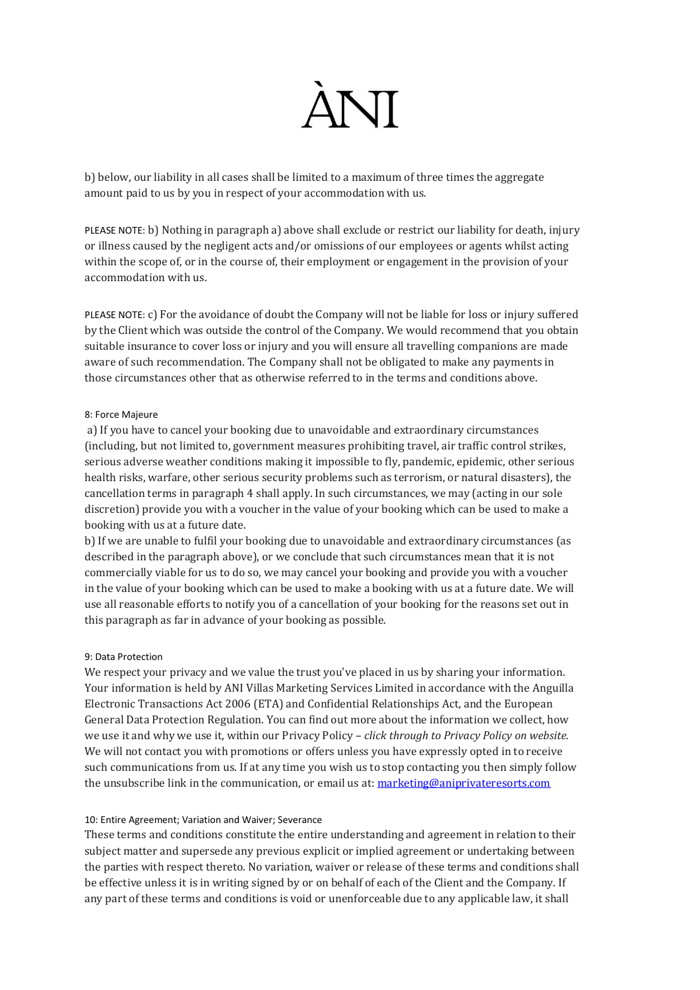## **ANT**

b) below, our liability in all cases shall be limited to a maximum of three times the aggregate amount paid to us by you in respect of your accommodation with us.

PLEASE NOTE: b) Nothing in paragraph a) above shall exclude or restrict our liability for death, injury or illness caused by the negligent acts and/or omissions of our employees or agents whilst acting within the scope of, or in the course of, their employment or engagement in the provision of your accommodation with us.

PLEASE NOTE: c) For the avoidance of doubt the Company will not be liable for loss or injury suffered by the Client which was outside the control of the Company. We would recommend that you obtain suitable insurance to cover loss or injury and you will ensure all travelling companions are made aware of such recommendation. The Company shall not be obligated to make any payments in those circumstances other that as otherwise referred to in the terms and conditions above.

#### 8: Force Majeure

a) If you have to cancel your booking due to unavoidable and extraordinary circumstances (including, but not limited to, government measures prohibiting travel, air traffic control strikes, serious adverse weather conditions making it impossible to fly, pandemic, epidemic, other serious health risks, warfare, other serious security problems such as terrorism, or natural disasters), the cancellation terms in paragraph 4 shall apply. In such circumstances, we may (acting in our sole discretion) provide you with a voucher in the value of your booking which can be used to make a booking with us at a future date.

b) If we are unable to fulfil your booking due to unavoidable and extraordinary circumstances (as described in the paragraph above), or we conclude that such circumstances mean that it is not commercially viable for us to do so, we may cancel your booking and provide you with a voucher in the value of your booking which can be used to make a booking with us at a future date. We will use all reasonable efforts to notify you of a cancellation of your booking for the reasons set out in this paragraph as far in advance of your booking as possible.

#### 9: Data Protection

We respect your privacy and we value the trust you've placed in us by sharing your information. Your information is held by ANI Villas Marketing Services Limited in accordance with the Anguilla Electronic Transactions Act 2006 (ETA) and Confidential Relationships Act, and the European General Data Protection Regulation. You can find out more about the information we collect, how we use it and why we use it, within our Privacy Policy – *click through to Privacy Policy on website.* We will not contact you with promotions or offers unless you have expressly opted in to receive such communications from us. If at any time you wish us to stop contacting you then simply follow the unsubscribe link in the communication, or email us at: [marketing@aniprivateresorts.com](mailto:marketing@aniprivateresorts.com)

#### 10: Entire Agreement; Variation and Waiver; Severance

These terms and conditions constitute the entire understanding and agreement in relation to their subject matter and supersede any previous explicit or implied agreement or undertaking between the parties with respect thereto. No variation, waiver or release of these terms and conditions shall be effective unless it is in writing signed by or on behalf of each of the Client and the Company. If any part of these terms and conditions is void or unenforceable due to any applicable law, it shall